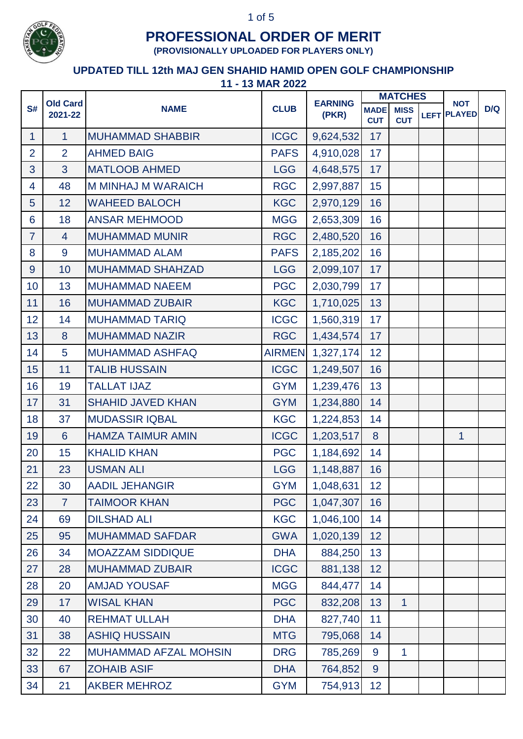

**(PROVISIONALLY UPLOADED FOR PLAYERS ONLY)**

|                |                            | T IV MAN AVLL                | <b>CLUB</b><br>(PKR) | <b>EARNING</b> | <b>MATCHES</b>            |                           | <b>NOT</b>         |     |
|----------------|----------------------------|------------------------------|----------------------|----------------|---------------------------|---------------------------|--------------------|-----|
| S#             | <b>Old Card</b><br>2021-22 | <b>NAME</b>                  |                      |                | <b>MADE</b><br><b>CUT</b> | <b>MISS</b><br><b>CUT</b> | <b>LEFT PLAYED</b> | D/Q |
| $\mathbf{1}$   | $\mathbf{1}$               | <b>MUHAMMAD SHABBIR</b>      | <b>ICGC</b>          | 9,624,532      | 17                        |                           |                    |     |
| $\overline{2}$ | $\overline{2}$             | <b>AHMED BAIG</b>            | <b>PAFS</b>          | 4,910,028      | 17                        |                           |                    |     |
| $\overline{3}$ | 3                          | <b>MATLOOB AHMED</b>         | <b>LGG</b>           | 4,648,575      | 17                        |                           |                    |     |
| 4              | 48                         | <b>M MINHAJ M WARAICH</b>    | <b>RGC</b>           | 2,997,887      | 15                        |                           |                    |     |
| 5              | 12                         | <b>WAHEED BALOCH</b>         | <b>KGC</b>           | 2,970,129      | 16                        |                           |                    |     |
| $6\phantom{1}$ | 18                         | <b>ANSAR MEHMOOD</b>         | <b>MGG</b>           | 2,653,309      | 16                        |                           |                    |     |
| $\overline{7}$ | $\overline{4}$             | <b>MUHAMMAD MUNIR</b>        | <b>RGC</b>           | 2,480,520      | 16                        |                           |                    |     |
| 8              | 9                          | <b>MUHAMMAD ALAM</b>         | <b>PAFS</b>          | 2,185,202      | 16                        |                           |                    |     |
| 9              | 10                         | <b>MUHAMMAD SHAHZAD</b>      | <b>LGG</b>           | 2,099,107      | 17                        |                           |                    |     |
| 10             | 13                         | <b>MUHAMMAD NAEEM</b>        | <b>PGC</b>           | 2,030,799      | 17                        |                           |                    |     |
| 11             | 16                         | <b>MUHAMMAD ZUBAIR</b>       | <b>KGC</b>           | 1,710,025      | 13                        |                           |                    |     |
| 12             | 14                         | <b>MUHAMMAD TARIQ</b>        | <b>ICGC</b>          | 1,560,319      | 17                        |                           |                    |     |
| 13             | 8                          | <b>MUHAMMAD NAZIR</b>        | <b>RGC</b>           | 1,434,574      | 17                        |                           |                    |     |
| 14             | 5                          | <b>MUHAMMAD ASHFAQ</b>       | <b>AIRMEN</b>        | 1,327,174      | 12                        |                           |                    |     |
| 15             | 11                         | <b>TALIB HUSSAIN</b>         | <b>ICGC</b>          | 1,249,507      | 16                        |                           |                    |     |
| 16             | 19                         | <b>TALLAT IJAZ</b>           | <b>GYM</b>           | 1,239,476      | 13                        |                           |                    |     |
| 17             | 31                         | <b>SHAHID JAVED KHAN</b>     | <b>GYM</b>           | 1,234,880      | 14                        |                           |                    |     |
| 18             | 37                         | <b>MUDASSIR IQBAL</b>        | <b>KGC</b>           | 1,224,853      | 14                        |                           |                    |     |
| 19             | 6                          | <b>HAMZA TAIMUR AMIN</b>     | <b>ICGC</b>          | 1,203,517      | 8                         |                           | $\mathbf{1}$       |     |
| 20             | 15                         | <b>KHALID KHAN</b>           | <b>PGC</b>           | 1,184,692      | 14                        |                           |                    |     |
| 21             | 23                         | <b>USMAN ALI</b>             | <b>LGG</b>           | 1,148,887      | 16                        |                           |                    |     |
| 22             | 30                         | <b>AADIL JEHANGIR</b>        | <b>GYM</b>           | 1,048,631      | 12 <sub>2</sub>           |                           |                    |     |
| 23             | $\overline{7}$             | <b>TAIMOOR KHAN</b>          | <b>PGC</b>           | 1,047,307      | 16                        |                           |                    |     |
| 24             | 69                         | <b>DILSHAD ALI</b>           | <b>KGC</b>           | 1,046,100      | 14                        |                           |                    |     |
| 25             | 95                         | <b>MUHAMMAD SAFDAR</b>       | <b>GWA</b>           | 1,020,139      | 12                        |                           |                    |     |
| 26             | 34                         | <b>MOAZZAM SIDDIQUE</b>      | <b>DHA</b>           | 884,250        | 13                        |                           |                    |     |
| 27             | 28                         | <b>MUHAMMAD ZUBAIR</b>       | <b>ICGC</b>          | 881,138        | 12                        |                           |                    |     |
| 28             | 20                         | <b>AMJAD YOUSAF</b>          | <b>MGG</b>           | 844,477        | 14                        |                           |                    |     |
| 29             | 17                         | <b>WISAL KHAN</b>            | <b>PGC</b>           | 832,208        | 13                        | $\mathbf{1}$              |                    |     |
| 30             | 40                         | <b>REHMAT ULLAH</b>          | <b>DHA</b>           | 827,740        | 11                        |                           |                    |     |
| 31             | 38                         | <b>ASHIQ HUSSAIN</b>         | <b>MTG</b>           | 795,068        | 14                        |                           |                    |     |
| 32             | 22                         | <b>MUHAMMAD AFZAL MOHSIN</b> | <b>DRG</b>           | 785,269        | 9                         | $\overline{1}$            |                    |     |
| 33             | 67                         | <b>ZOHAIB ASIF</b>           | <b>DHA</b>           | 764,852        | 9                         |                           |                    |     |
| 34             | 21                         | <b>AKBER MEHROZ</b>          | <b>GYM</b>           | 754,913        | 12 <sub>2</sub>           |                           |                    |     |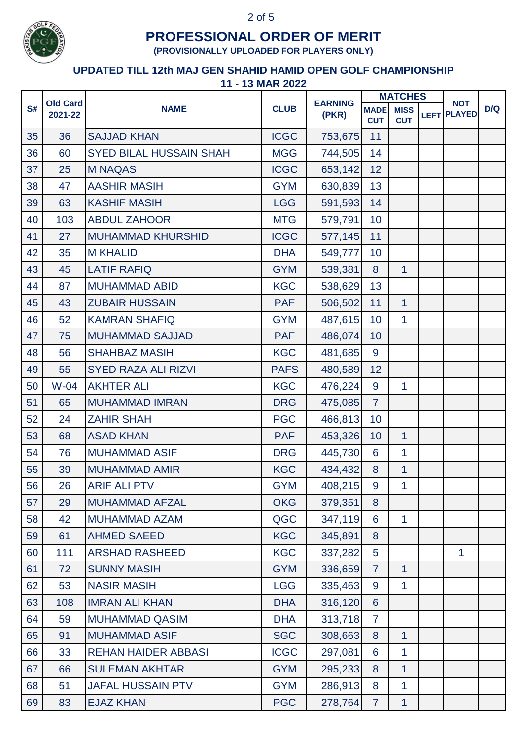

**(PROVISIONALLY UPLOADED FOR PLAYERS ONLY)**

|    | <b>Old Card</b> |                            | <b>CLUB</b> | <b>EARNING</b><br>(PKR) | <b>MATCHES</b>            |                           | <b>NOT</b>  |               |     |
|----|-----------------|----------------------------|-------------|-------------------------|---------------------------|---------------------------|-------------|---------------|-----|
| S# | 2021-22         | <b>NAME</b>                |             |                         | <b>MADE</b><br><b>CUT</b> | <b>MISS</b><br><b>CUT</b> | <b>LEFT</b> | <b>PLAYED</b> | D/Q |
| 35 | 36              | <b>SAJJAD KHAN</b>         | <b>ICGC</b> | 753,675                 | 11                        |                           |             |               |     |
| 36 | 60              | SYED BILAL HUSSAIN SHAH    | <b>MGG</b>  | 744,505                 | 14                        |                           |             |               |     |
| 37 | 25              | <b>M NAQAS</b>             | <b>ICGC</b> | 653,142                 | 12                        |                           |             |               |     |
| 38 | 47              | <b>AASHIR MASIH</b>        | <b>GYM</b>  | 630,839                 | 13                        |                           |             |               |     |
| 39 | 63              | <b>KASHIF MASIH</b>        | <b>LGG</b>  | 591,593                 | 14                        |                           |             |               |     |
| 40 | 103             | <b>ABDUL ZAHOOR</b>        | <b>MTG</b>  | 579,791                 | 10                        |                           |             |               |     |
| 41 | 27              | <b>MUHAMMAD KHURSHID</b>   | <b>ICGC</b> | 577,145                 | 11                        |                           |             |               |     |
| 42 | 35              | <b>M KHALID</b>            | <b>DHA</b>  | 549,777                 | 10                        |                           |             |               |     |
| 43 | 45              | <b>LATIF RAFIQ</b>         | <b>GYM</b>  | 539,381                 | 8                         | $\overline{1}$            |             |               |     |
| 44 | 87              | <b>MUHAMMAD ABID</b>       | <b>KGC</b>  | 538,629                 | 13                        |                           |             |               |     |
| 45 | 43              | <b>ZUBAIR HUSSAIN</b>      | <b>PAF</b>  | 506,502                 | 11                        | $\overline{1}$            |             |               |     |
| 46 | 52              | <b>KAMRAN SHAFIQ</b>       | <b>GYM</b>  | 487,615                 | 10                        | 1                         |             |               |     |
| 47 | 75              | <b>MUHAMMAD SAJJAD</b>     | <b>PAF</b>  | 486,074                 | 10                        |                           |             |               |     |
| 48 | 56              | <b>SHAHBAZ MASIH</b>       | <b>KGC</b>  | 481,685                 | 9                         |                           |             |               |     |
| 49 | 55              | <b>SYED RAZA ALI RIZVI</b> | <b>PAFS</b> | 480,589                 | 12                        |                           |             |               |     |
| 50 | $W-04$          | <b>AKHTER ALI</b>          | <b>KGC</b>  | 476,224                 | 9                         | $\mathbf{1}$              |             |               |     |
| 51 | 65              | <b>MUHAMMAD IMRAN</b>      | <b>DRG</b>  | 475,085                 | $\overline{7}$            |                           |             |               |     |
| 52 | 24              | <b>ZAHIR SHAH</b>          | <b>PGC</b>  | 466,813                 | 10                        |                           |             |               |     |
| 53 | 68              | <b>ASAD KHAN</b>           | <b>PAF</b>  | 453,326                 | 10                        | 1                         |             |               |     |
| 54 | 76              | <b>MUHAMMAD ASIF</b>       | <b>DRG</b>  | 445,730                 | 6                         | $\mathbf{1}$              |             |               |     |
| 55 | 39              | <b>MUHAMMAD AMIR</b>       | <b>KGC</b>  | 434,432                 | 8                         | $\mathbf{1}$              |             |               |     |
| 56 | 26              | <b>ARIF ALI PTV</b>        | <b>GYM</b>  | 408,215                 | 9                         | $\mathbf{1}$              |             |               |     |
| 57 | 29              | <b>MUHAMMAD AFZAL</b>      | <b>OKG</b>  | 379,351                 | 8                         |                           |             |               |     |
| 58 | 42              | <b>MUHAMMAD AZAM</b>       | QGC         | 347,119                 | 6                         | $\mathbf{1}$              |             |               |     |
| 59 | 61              | <b>AHMED SAEED</b>         | <b>KGC</b>  | 345,891                 | 8                         |                           |             |               |     |
| 60 | 111             | <b>ARSHAD RASHEED</b>      | <b>KGC</b>  | 337,282                 | 5                         |                           |             | $\mathbf 1$   |     |
| 61 | 72              | <b>SUNNY MASIH</b>         | <b>GYM</b>  | 336,659                 | $\overline{7}$            | $\overline{1}$            |             |               |     |
| 62 | 53              | <b>NASIR MASIH</b>         | <b>LGG</b>  | 335,463                 | 9                         | $\mathbf{1}$              |             |               |     |
| 63 | 108             | <b>IMRAN ALI KHAN</b>      | <b>DHA</b>  | 316,120                 | 6                         |                           |             |               |     |
| 64 | 59              | <b>MUHAMMAD QASIM</b>      | <b>DHA</b>  | 313,718                 | $\overline{7}$            |                           |             |               |     |
| 65 | 91              | <b>MUHAMMAD ASIF</b>       | <b>SGC</b>  | 308,663                 | 8                         | $\overline{1}$            |             |               |     |
| 66 | 33              | <b>REHAN HAIDER ABBASI</b> | <b>ICGC</b> | 297,081                 | 6                         | 1                         |             |               |     |
| 67 | 66              | <b>SULEMAN AKHTAR</b>      | <b>GYM</b>  | 295,233                 | 8                         | $\mathbf{1}$              |             |               |     |
| 68 | 51              | <b>JAFAL HUSSAIN PTV</b>   | <b>GYM</b>  | 286,913                 | 8                         | $\mathbf{1}$              |             |               |     |
| 69 | 83              | <b>EJAZ KHAN</b>           | <b>PGC</b>  | 278,764                 | $\overline{7}$            | $\mathbf{1}$              |             |               |     |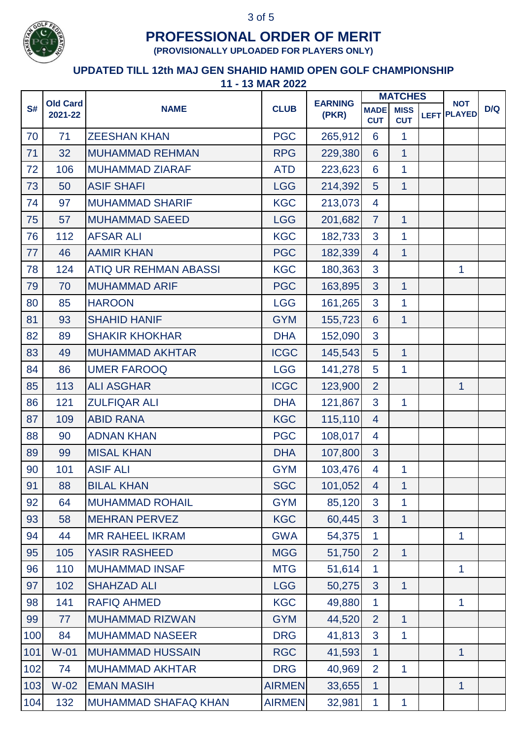

**(PROVISIONALLY UPLOADED FOR PLAYERS ONLY)**

|     | <b>Old Card</b> |                              |               | <b>EARNING</b><br>(PKR) |                           |                           |             |                | <b>MATCHES</b> |  | <b>NOT</b><br><b>PLAYED</b> |  |
|-----|-----------------|------------------------------|---------------|-------------------------|---------------------------|---------------------------|-------------|----------------|----------------|--|-----------------------------|--|
| S#  | 2021-22         | <b>NAME</b>                  | <b>CLUB</b>   |                         | <b>MADE</b><br><b>CUT</b> | <b>MISS</b><br><b>CUT</b> | <b>LEFT</b> | D/Q            |                |  |                             |  |
| 70  | 71              | <b>ZEESHAN KHAN</b>          | <b>PGC</b>    | 265,912                 | 6                         | 1                         |             |                |                |  |                             |  |
| 71  | 32              | <b>MUHAMMAD REHMAN</b>       | <b>RPG</b>    | 229,380                 | 6                         | $\overline{1}$            |             |                |                |  |                             |  |
| 72  | 106             | <b>MUHAMMAD ZIARAF</b>       | <b>ATD</b>    | 223,623                 | $6\phantom{1}6$           | $\mathbf{1}$              |             |                |                |  |                             |  |
| 73  | 50              | <b>ASIF SHAFI</b>            | <b>LGG</b>    | 214,392                 | 5                         | $\overline{1}$            |             |                |                |  |                             |  |
| 74  | 97              | <b>MUHAMMAD SHARIF</b>       | <b>KGC</b>    | 213,073                 | $\overline{4}$            |                           |             |                |                |  |                             |  |
| 75  | 57              | <b>MUHAMMAD SAEED</b>        | <b>LGG</b>    | 201,682                 | $\overline{7}$            | 1                         |             |                |                |  |                             |  |
| 76  | 112             | <b>AFSAR ALI</b>             | <b>KGC</b>    | 182,733                 | 3                         | 1                         |             |                |                |  |                             |  |
| 77  | 46              | <b>AAMIR KHAN</b>            | <b>PGC</b>    | 182,339                 | $\overline{4}$            | $\mathbf{1}$              |             |                |                |  |                             |  |
| 78  | 124             | <b>ATIQ UR REHMAN ABASSI</b> | <b>KGC</b>    | 180,363                 | 3                         |                           |             | $\mathbf{1}$   |                |  |                             |  |
| 79  | 70              | <b>MUHAMMAD ARIF</b>         | <b>PGC</b>    | 163,895                 | 3                         | $\overline{1}$            |             |                |                |  |                             |  |
| 80  | 85              | <b>HAROON</b>                | <b>LGG</b>    | 161,265                 | 3                         | 1                         |             |                |                |  |                             |  |
| 81  | 93              | <b>SHAHID HANIF</b>          | <b>GYM</b>    | 155,723                 | $6\phantom{1}$            | 1                         |             |                |                |  |                             |  |
| 82  | 89              | <b>SHAKIR KHOKHAR</b>        | <b>DHA</b>    | 152,090                 | 3                         |                           |             |                |                |  |                             |  |
| 83  | 49              | <b>MUHAMMAD AKHTAR</b>       | <b>ICGC</b>   | 145,543                 | 5                         | $\mathbf{1}$              |             |                |                |  |                             |  |
| 84  | 86              | <b>UMER FAROOQ</b>           | <b>LGG</b>    | 141,278                 | 5                         | $\mathbf{1}$              |             |                |                |  |                             |  |
| 85  | 113             | <b>ALI ASGHAR</b>            | <b>ICGC</b>   | 123,900                 | $\overline{2}$            |                           |             | $\mathbf{1}$   |                |  |                             |  |
| 86  | 121             | <b>ZULFIQAR ALI</b>          | <b>DHA</b>    | 121,867                 | 3                         | $\mathbf{1}$              |             |                |                |  |                             |  |
| 87  | 109             | <b>ABID RANA</b>             | <b>KGC</b>    | 115,110                 | $\overline{4}$            |                           |             |                |                |  |                             |  |
| 88  | 90              | <b>ADNAN KHAN</b>            | <b>PGC</b>    | 108,017                 | 4                         |                           |             |                |                |  |                             |  |
| 89  | 99              | <b>MISAL KHAN</b>            | <b>DHA</b>    | 107,800                 | 3                         |                           |             |                |                |  |                             |  |
| 90  | 101             | <b>ASIF ALI</b>              | <b>GYM</b>    | 103,476                 | $\overline{4}$            | 1                         |             |                |                |  |                             |  |
| 91  | 88              | <b>BILAL KHAN</b>            | <b>SGC</b>    | 101,052                 | $\overline{4}$            | 1                         |             |                |                |  |                             |  |
| 92  | 64              | <b>MUHAMMAD ROHAIL</b>       | <b>GYM</b>    | 85,120                  | 3                         | 1                         |             |                |                |  |                             |  |
| 93  | 58              | <b>MEHRAN PERVEZ</b>         | <b>KGC</b>    | 60,445                  | 3 <sup>1</sup>            | $\overline{1}$            |             |                |                |  |                             |  |
| 94  | 44              | <b>MR RAHEEL IKRAM</b>       | <b>GWA</b>    | 54,375                  | 1                         |                           |             | 1              |                |  |                             |  |
| 95  | 105             | <b>YASIR RASHEED</b>         | <b>MGG</b>    | 51,750                  | 2                         | $\mathbf{1}$              |             |                |                |  |                             |  |
| 96  | 110             | <b>MUHAMMAD INSAF</b>        | <b>MTG</b>    | 51,614                  | $\mathbf{1}$              |                           |             | $\overline{1}$ |                |  |                             |  |
| 97  | 102             | <b>SHAHZAD ALI</b>           | <b>LGG</b>    | 50,275                  | 3                         | $\mathbf{1}$              |             |                |                |  |                             |  |
| 98  | 141             | <b>RAFIQ AHMED</b>           | <b>KGC</b>    | 49,880                  | $\mathbf{1}$              |                           |             | $\mathbf{1}$   |                |  |                             |  |
| 99  | 77              | <b>MUHAMMAD RIZWAN</b>       | <b>GYM</b>    | 44,520                  | $\overline{2}$            | $\overline{1}$            |             |                |                |  |                             |  |
| 100 | 84              | <b>MUHAMMAD NASEER</b>       | <b>DRG</b>    | 41,813                  | $\mathbf{3}$              | 1                         |             |                |                |  |                             |  |
| 101 | $W-01$          | <b>MUHAMMAD HUSSAIN</b>      | <b>RGC</b>    | 41,593                  | $\mathbf{1}$              |                           |             | $\mathbf 1$    |                |  |                             |  |
| 102 | 74              | <b>MUHAMMAD AKHTAR</b>       | <b>DRG</b>    | 40,969                  | $\overline{2}$            | $\overline{1}$            |             |                |                |  |                             |  |
| 103 | $W-02$          | <b>EMAN MASIH</b>            | <b>AIRMEN</b> | 33,655                  | $\mathbf{1}$              |                           |             | $\mathbf{1}$   |                |  |                             |  |
| 104 | 132             | <b>MUHAMMAD SHAFAQ KHAN</b>  | <b>AIRMEN</b> | 32,981                  | $\mathbf{1}$              | 1                         |             |                |                |  |                             |  |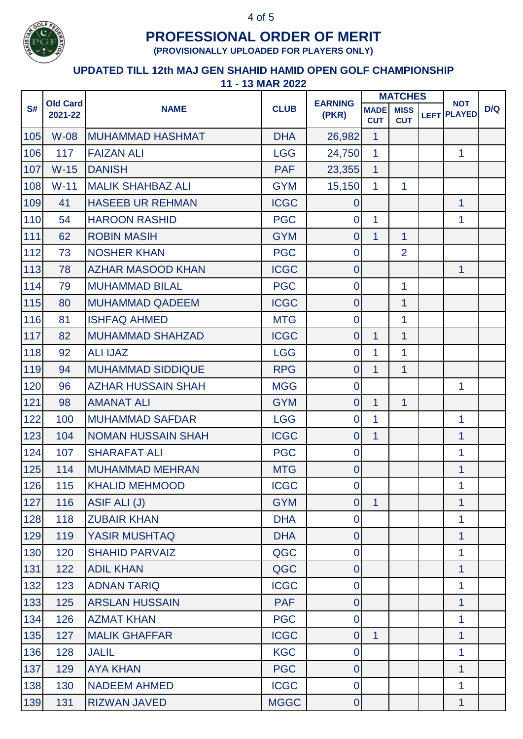

**(PROVISIONALLY UPLOADED FOR PLAYERS ONLY)**

|     |                            |                           | <b>CLUB</b> | <b>EARNING</b><br>(PKR) | <b>MATCHES</b>            |                           |                                  |     |
|-----|----------------------------|---------------------------|-------------|-------------------------|---------------------------|---------------------------|----------------------------------|-----|
| S#  | <b>Old Card</b><br>2021-22 | <b>NAME</b>               |             |                         | <b>MADE</b><br><b>CUT</b> | <b>MISS</b><br><b>CUT</b> | <b>NOT</b><br><b>LEFT PLAYED</b> | D/Q |
| 105 | <b>W-08</b>                | <b>MUHAMMAD HASHMAT</b>   | <b>DHA</b>  | 26,982                  | $\mathbf{1}$              |                           |                                  |     |
| 106 | 117                        | <b>FAIZAN ALI</b>         | <b>LGG</b>  | 24,750                  | $\mathbf{1}$              |                           | $\mathbf{1}$                     |     |
| 107 | $W-15$                     | <b>DANISH</b>             | <b>PAF</b>  | 23,355                  | $\mathbf{1}$              |                           |                                  |     |
| 108 | $W-11$                     | <b>MALIK SHAHBAZ ALI</b>  | <b>GYM</b>  | 15,150                  | 1                         | $\mathbf{1}$              |                                  |     |
| 109 | 41                         | <b>HASEEB UR REHMAN</b>   | <b>ICGC</b> | $\mathbf 0$             |                           |                           | $\mathbf{1}$                     |     |
| 110 | 54                         | <b>HAROON RASHID</b>      | <b>PGC</b>  | 0                       | 1                         |                           | 1                                |     |
| 111 | 62                         | <b>ROBIN MASIH</b>        | <b>GYM</b>  | $\overline{0}$          | 1                         | $\mathbf{1}$              |                                  |     |
| 112 | 73                         | <b>NOSHER KHAN</b>        | <b>PGC</b>  | $\mathbf 0$             |                           | $\overline{2}$            |                                  |     |
| 113 | 78                         | <b>AZHAR MASOOD KHAN</b>  | <b>ICGC</b> | $\mathbf 0$             |                           |                           | $\mathbf{1}$                     |     |
| 114 | 79                         | <b>MUHAMMAD BILAL</b>     | <b>PGC</b>  | $\mathbf 0$             |                           | $\mathbf{1}$              |                                  |     |
| 115 | 80                         | <b>MUHAMMAD QADEEM</b>    | <b>ICGC</b> | $\mathbf 0$             |                           | 1                         |                                  |     |
| 116 | 81                         | <b>ISHFAQ AHMED</b>       | <b>MTG</b>  | $\mathbf 0$             |                           | 1                         |                                  |     |
| 117 | 82                         | <b>MUHAMMAD SHAHZAD</b>   | <b>ICGC</b> | $\mathbf 0$             | 1                         | $\mathbf{1}$              |                                  |     |
| 118 | 92                         | <b>ALI IJAZ</b>           | <b>LGG</b>  | $\mathbf 0$             | 1                         | $\mathbf{1}$              |                                  |     |
| 119 | 94                         | <b>MUHAMMAD SIDDIQUE</b>  | <b>RPG</b>  | $\mathbf 0$             | $\mathbf{1}$              | $\overline{1}$            |                                  |     |
| 120 | 96                         | <b>AZHAR HUSSAIN SHAH</b> | <b>MGG</b>  | $\overline{0}$          |                           |                           | $\mathbf{1}$                     |     |
| 121 | 98                         | <b>AMANAT ALI</b>         | <b>GYM</b>  | $\mathbf 0$             | $\mathbf{1}$              | $\mathbf{1}$              |                                  |     |
| 122 | 100                        | <b>MUHAMMAD SAFDAR</b>    | <b>LGG</b>  | $\mathbf 0$             | 1                         |                           | 1                                |     |
| 123 | 104                        | <b>NOMAN HUSSAIN SHAH</b> | <b>ICGC</b> | $\overline{0}$          | 1                         |                           | $\mathbf 1$                      |     |
| 124 | 107                        | <b>SHARAFAT ALI</b>       | <b>PGC</b>  | $\mathbf 0$             |                           |                           | 1                                |     |
| 125 | 114                        | <b>MUHAMMAD MEHRAN</b>    | <b>MTG</b>  | $\mathbf 0$             |                           |                           | 1                                |     |
| 126 | 115                        | <b>KHALID MEHMOOD</b>     | <b>ICGC</b> | $\overline{0}$          |                           |                           | 1                                |     |
| 127 | 116                        | <b>ASIF ALI (J)</b>       | <b>GYM</b>  | $\overline{0}$          | $\overline{1}$            |                           | $\mathbf{1}$                     |     |
| 128 | 118                        | <b>ZUBAIR KHAN</b>        | <b>DHA</b>  | $\overline{0}$          |                           |                           | $\mathbf{1}$                     |     |
| 129 | 119                        | <b>YASIR MUSHTAQ</b>      | <b>DHA</b>  | $\mathbf 0$             |                           |                           | $\mathbf 1$                      |     |
| 130 | 120                        | <b>SHAHID PARVAIZ</b>     | QGC         | $\mathbf 0$             |                           |                           | $\mathbf{1}$                     |     |
| 131 | 122                        | <b>ADIL KHAN</b>          | <b>QGC</b>  | $\mathbf 0$             |                           |                           | $\mathbf{1}$                     |     |
| 132 | 123                        | <b>ADNAN TARIQ</b>        | <b>ICGC</b> | $\overline{0}$          |                           |                           | $\mathbf{1}$                     |     |
| 133 | 125                        | <b>ARSLAN HUSSAIN</b>     | <b>PAF</b>  | $\overline{0}$          |                           |                           | $\mathbf{1}$                     |     |
| 134 | 126                        | <b>AZMAT KHAN</b>         | <b>PGC</b>  | $\mathbf 0$             |                           |                           | $\overline{1}$                   |     |
| 135 | 127                        | <b>MALIK GHAFFAR</b>      | <b>ICGC</b> | $\overline{0}$          | $\mathbf{1}$              |                           | 1                                |     |
| 136 | 128                        | <b>JALIL</b>              | <b>KGC</b>  | $\mathbf 0$             |                           |                           | $\mathbf 1$                      |     |
| 137 | 129                        | <b>AYA KHAN</b>           | <b>PGC</b>  | $\overline{0}$          |                           |                           | $\mathbf{1}$                     |     |
| 138 | 130                        | <b>NADEEM AHMED</b>       | <b>ICGC</b> | $\overline{0}$          |                           |                           | 1                                |     |
| 139 | 131                        | <b>RIZWAN JAVED</b>       | <b>MGGC</b> | $\overline{0}$          |                           |                           | $\mathbf{1}$                     |     |